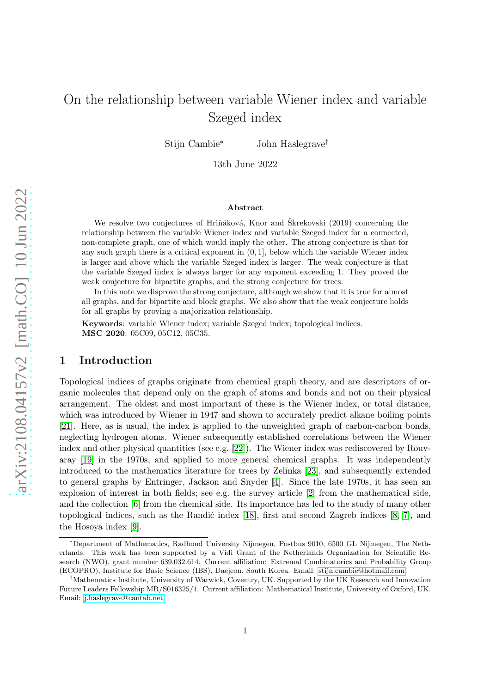# On the relationship between variable Wiener index and variable Szeged index

Stijn Cambie<sup>∗</sup> John Haslegrave†

13th June 2022

#### Abstract

We resolve two conjectures of Hriňáková, Knor and Škrekovski (2019) concerning the relationship between the variable Wiener index and variable Szeged index for a connected, non-complete graph, one of which would imply the other. The strong conjecture is that for any such graph there is a critical exponent in  $(0, 1]$ , below which the variable Wiener index is larger and above which the variable Szeged index is larger. The weak conjecture is that the variable Szeged index is always larger for any exponent exceeding 1. They proved the weak conjecture for bipartite graphs, and the strong conjecture for trees.

In this note we disprove the strong conjecture, although we show that it is true for almost all graphs, and for bipartite and block graphs. We also show that the weak conjecture holds for all graphs by proving a majorization relationship.

Keywords: variable Wiener index; variable Szeged index; topological indices. MSC 2020: 05C09, 05C12, 05C35.

#### 1 Introduction

Topological indices of graphs originate from chemical graph theory, and are descriptors of organic molecules that depend only on the graph of atoms and bonds and not on their physical arrangement. The oldest and most important of these is the Wiener index, or total distance, which was introduced by Wiener in 1947 and shown to accurately predict alkane boiling points [\[21\]](#page-10-0). Here, as is usual, the index is applied to the unweighted graph of carbon-carbon bonds, neglecting hydrogen atoms. Wiener subsequently established correlations between the Wiener index and other physical quantities (see e.g. [\[22\]](#page-10-1)). The Wiener index was rediscovered by Rouvaray [\[19\]](#page-10-2) in the 1970s, and applied to more general chemical graphs. It was independently introduced to the mathematics literature for trees by Zelinka [\[23\]](#page-10-3), and subsequently extended to general graphs by Entringer, Jackson and Snyder [\[4\]](#page-9-0). Since the late 1970s, it has seen an explosion of interest in both fields; see e.g. the survey article [\[2\]](#page-9-1) from the mathematical side, and the collection [\[6\]](#page-9-2) from the chemical side. Its importance has led to the study of many other topological indices, such as the Randić index  $[18]$ , first and second Zagreb indices  $[8, 7]$  $[8, 7]$ , and the Hosoya index [\[9\]](#page-9-5).

<sup>∗</sup>Department of Mathematics, Radboud University Nijmegen, Postbus 9010, 6500 GL Nijmegen, The Netherlands. This work has been supported by a Vidi Grant of the Netherlands Organization for Scientific Research (NWO), grant number 639.032.614. Current affiliation: Extremal Combinatorics and Probability Group (ECOPRO), Institute for Basic Science (IBS), Daejeon, South Korea. Email: [stijn.cambie@hotmail.com.](mailto:stijn.cambie@hotmail.com)

<sup>†</sup>Mathematics Institute, University of Warwick, Coventry, UK. Supported by the UK Research and Innovation Future Leaders Fellowship MR/S016325/1. Current affiliation: Mathematical Institute, University of Oxford, UK. Email: [j.haslegrave@cantab.net.](mailto:j.haslegrave@cantab.net)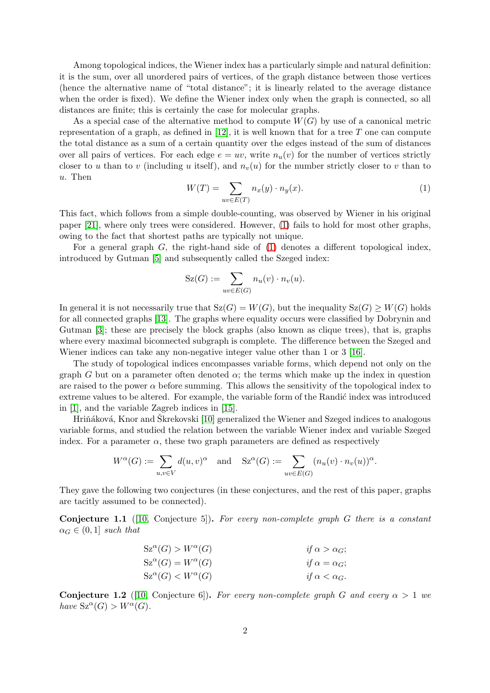Among topological indices, the Wiener index has a particularly simple and natural definition: it is the sum, over all unordered pairs of vertices, of the graph distance between those vertices (hence the alternative name of "total distance"; it is linearly related to the average distance when the order is fixed). We define the Wiener index only when the graph is connected, so all distances are finite; this is certainly the case for molecular graphs.

As a special case of the alternative method to compute  $W(G)$  by use of a canonical metric representation of a graph, as defined in  $[12]$ , it is well known that for a tree T one can compute the total distance as a sum of a certain quantity over the edges instead of the sum of distances over all pairs of vertices. For each edge  $e = uv$ , write  $n_u(v)$  for the number of vertices strictly closer to u than to v (including u itself), and  $n_v(u)$  for the number strictly closer to v than to u. Then

<span id="page-1-0"></span>
$$
W(T) = \sum_{uv \in E(T)} n_x(y) \cdot n_y(x). \tag{1}
$$

.

This fact, which follows from a simple double-counting, was observed by Wiener in his original paper [\[21\]](#page-10-0), where only trees were considered. However, [\(1\)](#page-1-0) fails to hold for most other graphs, owing to the fact that shortest paths are typically not unique.

For a general graph  $G$ , the right-hand side of  $(1)$  denotes a different topological index, introduced by Gutman [\[5\]](#page-9-6) and subsequently called the Szeged index:

$$
\mathrm{Sz}(G) := \sum_{uv \in E(G)} n_u(v) \cdot n_v(u).
$$

In general it is not necessarily true that  $S_Z(G) = W(G)$ , but the inequality  $S_Z(G) \geq W(G)$  holds for all connected graphs [\[13\]](#page-10-6). The graphs where equality occurs were classified by Dobrynin and Gutman [\[3\]](#page-9-7); these are precisely the block graphs (also known as clique trees), that is, graphs where every maximal biconnected subgraph is complete. The difference between the Szeged and Wiener indices can take any non-negative integer value other than 1 or 3 [\[16\]](#page-10-7).

The study of topological indices encompasses variable forms, which depend not only on the graph G but on a parameter often denoted  $\alpha$ ; the terms which make up the index in question are raised to the power  $\alpha$  before summing. This allows the sensitivity of the topological index to extreme values to be altered. For example, the variable form of the Randic index was introduced in [\[1\]](#page-9-8), and the variable Zagreb indices in [\[15\]](#page-10-8).

Hriňáková, Knor and Škrekovski [\[10\]](#page-9-9) generalized the Wiener and Szeged indices to analogous variable forms, and studied the relation between the variable Wiener index and variable Szeged index. For a parameter  $\alpha$ , these two graph parameters are defined as respectively

$$
W^{\alpha}(G) := \sum_{u,v \in V} d(u,v)^{\alpha} \text{ and } Sz^{\alpha}(G) := \sum_{uv \in E(G)} (n_u(v) \cdot n_v(u))^{\alpha}
$$

<span id="page-1-1"></span>They gave the following two conjectures (in these conjectures, and the rest of this paper, graphs are tacitly assumed to be connected).

Conjecture 1.1 ([\[10,](#page-9-9) Conjecture 5]). *For every non-complete graph* G *there is a constant*  $\alpha_G \in (0,1]$  *such that* 

$$
Sz^{\alpha}(G) > W^{\alpha}(G)
$$
  
\n
$$
Sz^{\alpha}(G) = W^{\alpha}(G)
$$
  
\n
$$
z^{\alpha}(G) < W^{\alpha}(G)
$$
  
\n
$$
if \alpha = \alpha_G;
$$
  
\n
$$
if \alpha < \alpha_G.
$$

<span id="page-1-2"></span>**Conjecture 1.2** ([\[10,](#page-9-9) Conjecture 6]). *For every non-complete graph* G and every  $\alpha > 1$  we  $have Sz^{\alpha}(G) > W^{\alpha}(G).$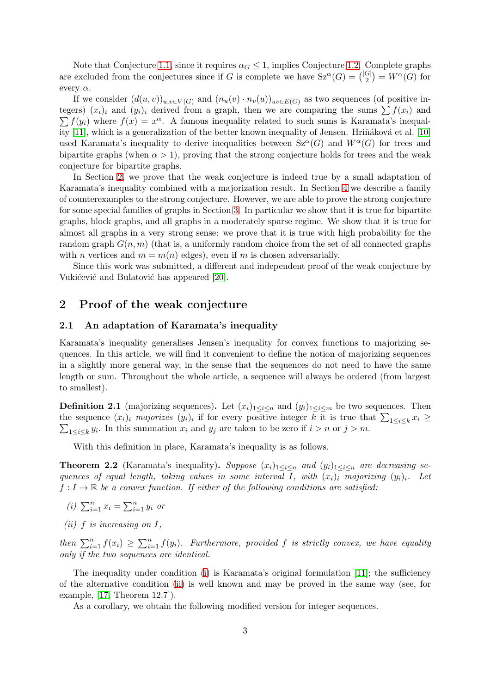Note that Conjecture [1.1,](#page-1-1) since it requires  $\alpha_G \leq 1$ , implies Conjecture [1.2.](#page-1-2) Complete graphs are excluded from the conjectures since if G is complete we have  $Sz^{\alpha}(G) = \binom{|G|}{2}$  $\binom{G}{2} = W^{\alpha}(G)$  for every  $\alpha$ .

If we consider  $(d(u, v))_{u,v\in V(G)}$  and  $(n_u(v) \cdot n_v(u))_{uv\in E(G)}$  as two sequences (of positive integers)  $(x_i)_i$  and  $(y_i)_i$  derived from a graph, then we are comparing the sums  $\sum f(x_i)$  and  $\sum f(y_i)$  where  $f(x) = x^{\alpha}$ . A famous inequality related to such sums is Karamata's inequal-ity [\[11\]](#page-10-9), which is a generalization of the better known inequality of Jensen. Hriňáková et al. [\[10\]](#page-9-9) used Karamata's inequality to derive inequalities between  $Sz^{\alpha}(G)$  and  $W^{\alpha}(G)$  for trees and bipartite graphs (when  $\alpha > 1$ ), proving that the strong conjecture holds for trees and the weak conjecture for bipartite graphs.

In Section [2,](#page-2-0) we prove that the weak conjecture is indeed true by a small adaptation of Karamata's inequality combined with a majorization result. In Section [4](#page-7-0) we describe a family of counterexamples to the strong conjecture. However, we are able to prove the strong conjecture for some special families of graphs in Section [3.](#page-4-0) In particular we show that it is true for bipartite graphs, block graphs, and all graphs in a moderately sparse regime. We show that it is true for almost all graphs in a very strong sense: we prove that it is true with high probability for the random graph  $G(n, m)$  (that is, a uniformly random choice from the set of all connected graphs with *n* vertices and  $m = m(n)$  edges), even if *m* is chosen adversarially.

Since this work was submitted, a different and independent proof of the weak conjecture by Vukićević and Bulatović has appeared [\[20\]](#page-10-10).

### <span id="page-2-0"></span>2 Proof of the weak conjecture

#### 2.1 An adaptation of Karamata's inequality

Karamata's inequality generalises Jensen's inequality for convex functions to majorizing sequences. In this article, we will find it convenient to define the notion of majorizing sequences in a slightly more general way, in the sense that the sequences do not need to have the same length or sum. Throughout the whole article, a sequence will always be ordered (from largest to smallest).

**Definition 2.1** (majorizing sequences). Let  $(x_i)_{1\leq i\leq n}$  and  $(y_i)_{1\leq i\leq m}$  be two sequences. Then the sequence  $(x_i)_i$  majorizes  $(y_i)_i$  if for every positive integer k it is true that  $\sum_{1 \le i \le k} x_i \ge$  $\sum_{1 \leq i \leq k} y_i$ . In this summation  $x_i$  and  $y_j$  are taken to be zero if  $i > n$  or  $j > m$ .

<span id="page-2-4"></span>With this definition in place, Karamata's inequality is as follows.

**Theorem 2.2** (Karamata's inequality). Suppose  $(x_i)_{1 \leq i \leq n}$  and  $(y_i)_{1 \leq i \leq n}$  are decreasing se*quences of equal length, taking values in some interval I, with*  $(x_i)_i$  *majorizing*  $(y_i)_i$ . Let  $f: I \to \mathbb{R}$  *be a convex function. If either of the following conditions are satisfied:* 

- <span id="page-2-2"></span><span id="page-2-1"></span>*(i)*  $\sum_{i=1}^{n} x_i = \sum_{i=1}^{n} y_i$  *or*
- *(ii)* f *is increasing on* I*,*

*then*  $\sum_{i=1}^{n} f(x_i) \geq \sum_{i=1}^{n} f(y_i)$ *. Furthermore, provided* f *is strictly convex, we have equality only if the two sequences are identical.*

The inequality under condition [\(i\)](#page-2-1) is Karamata's original formulation [\[11\]](#page-10-9); the sufficiency of the alternative condition [\(ii\)](#page-2-2) is well known and may be proved in the same way (see, for example, [\[17,](#page-10-11) Theorem 12.7]).

<span id="page-2-3"></span>As a corollary, we obtain the following modified version for integer sequences.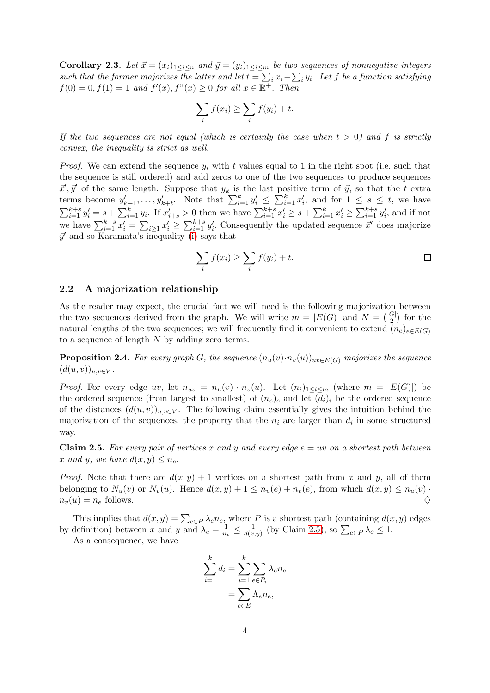**Corollary 2.3.** Let  $\vec{x} = (x_i)_{1 \leq i \leq n}$  and  $\vec{y} = (y_i)_{1 \leq i \leq m}$  be two sequences of nonnegative integers  $such that the former majorizes the latter and let  $t = \sum_i x_i - \sum_i y_i$ . Let  $f$  be a function satisfying$  $f(0) = 0, f(1) = 1$  and  $f'(x), f''(x) \ge 0$  for all  $x \in \overline{\mathbb{R}^+}$ . Then

$$
\sum_{i} f(x_i) \ge \sum_{i} f(y_i) + t.
$$

*If the two sequences are not equal (which is certainly the case when*  $t > 0$ ) and f is strictly *convex, the inequality is strict as well.*

*Proof.* We can extend the sequence  $y_i$  with t values equal to 1 in the right spot (i.e. such that the sequence is still ordered) and add zeros to one of the two sequences to produce sequences  $\vec{x}', \vec{y}'$  of the same length. Suppose that  $y_k$  is the last positive term of  $\vec{y}$ , so that the t extra terms become  $y'_{k+1}, \ldots, y'_{k+t}$ . Note that  $\sum_{i=1}^k y'_i \leq \sum_{i=1}^k x'_i$ , and for  $1 \leq s \leq t$ , we have  $\sum_{i=1}^{k+s} y'_i = s + \sum_{i=1}^k y_i$ . If  $x'_{i+s} > 0$  then we have  $\sum_{i=1}^{k+s} x'_i \geq s + \sum_{i=1}^k x'_i \geq \sum_{i=1}^{k+s} y'_i$ , and if not we have  $\sum_{i=1}^{k+s} x'_i = \sum_{i\geq 1} x'_i \geq \sum_{i=1}^{k+s} y'_i$ . Consequently the updated sequence  $\vec{x}'$  does majorize  $\vec{y}'$  and so Karamata's inequality [\(i\)](#page-2-1) says that

$$
\sum_{i} f(x_i) \ge \sum_{i} f(y_i) + t.
$$

#### 2.2 A majorization relationship

As the reader may expect, the crucial fact we will need is the following majorization between the two sequences derived from the graph. We will write  $m = |E(G)|$  and  $N = \binom{|G|}{2}$  $\binom{G}{2}$  for the natural lengths of the two sequences; we will frequently find it convenient to extend  $(n_e)_{e \in E(G)}$ to a sequence of length N by adding zero terms.

<span id="page-3-1"></span>**Proposition 2.4.** *For every graph* G, the sequence  $(n_u(v) \cdot n_v(u))_{uv \in E(G)}$  majorizes the sequence  $(d(u, v))_{u, v \in V}$ .

*Proof.* For every edge uv, let  $n_{uv} = n_u(v) \cdot n_v(u)$ . Let  $(n_i)_{1 \le i \le m}$  (where  $m = |E(G)|$ ) be the ordered sequence (from largest to smallest) of  $(n_e)_e$  and let  $(d_i)_i$  be the ordered sequence of the distances  $(d(u, v))_{u,v \in V}$ . The following claim essentially gives the intuition behind the majorization of the sequences, the property that the  $n_i$  are larger than  $d_i$  in some structured way.

<span id="page-3-0"></span>**Claim 2.5.** For every pair of vertices x and y and every edge  $e = uv$  on a shortest path between x and y, we have  $d(x, y) \leq n_e$ .

*Proof.* Note that there are  $d(x, y) + 1$  vertices on a shortest path from x and y, all of them belonging to  $N_u(v)$  or  $N_v(u)$ . Hence  $d(x, y) + 1 \leq n_u(e) + n_v(e)$ , from which  $d(x, y) \leq n_u(v)$ .  $n_v(u) = n_e$  follows.

This implies that  $d(x, y) = \sum_{e \in P} \lambda_e n_e$ , where P is a shortest path (containing  $d(x, y)$  edges by definition) between x and y and  $\lambda_e = \frac{1}{n_e} \leq \frac{1}{d(x,y)}$  (by Claim [2.5\)](#page-3-0), so  $\sum_{e \in P} \lambda_e \leq 1$ .

As a consequence, we have

$$
\sum_{i=1}^{k} d_i = \sum_{i=1}^{k} \sum_{e \in P_i} \lambda_e n_e
$$

$$
= \sum_{e \in E} \Lambda_e n_e,
$$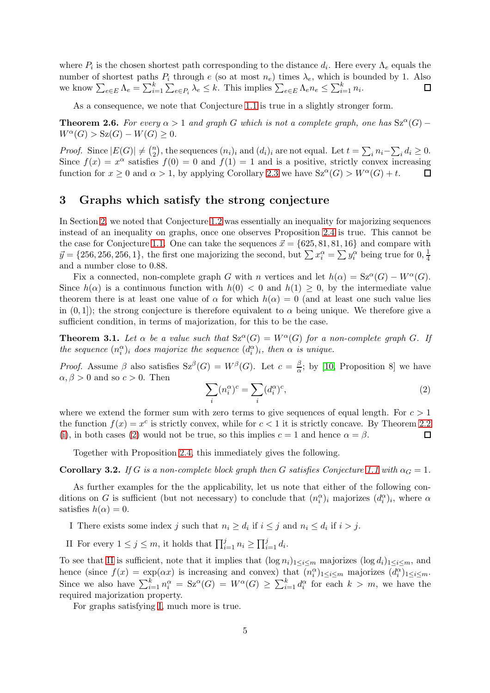where  $P_i$  is the chosen shortest path corresponding to the distance  $d_i$ . Here every  $\Lambda_e$  equals the number of shortest paths  $P_i$  through e (so at most  $n_e$ ) times  $\lambda_e$ , which is bounded by 1. Also we know  $\sum_{e \in E} \Lambda_e = \sum_{i=1}^k \sum_{e \in P_i} \lambda_e \leq k$ . This implies  $\sum_{e \in E} \Lambda_e n_e \leq \sum_{i=1}^k n_i$ .  $\Box$ 

As a consequence, we note that Conjecture [1.1](#page-1-1) is true in a slightly stronger form.

**Theorem 2.6.** For every  $\alpha > 1$  and graph G which is not a complete graph, one has  $Sz^{\alpha}(G)$  –  $W^{\alpha}(G) > S_{\mathbb{Z}}(G) - W(G) \geq 0.$ 

*Proof.* Since  $|E(G)| \neq {n \choose 2}$ <sup>n</sup><sub>2</sub>), the sequences  $(n_i)_i$  and  $(d_i)_i$  are not equal. Let  $t = \sum_i n_i - \sum_i d_i \ge 0$ . Since  $f(x) = x^{\alpha}$  satisfies  $f(0) = 0$  and  $f(1) = 1$  and is a positive, strictly convex increasing function for  $x \ge 0$  and  $\alpha > 1$ , by applying Corollary [2.3](#page-2-3) we have  $Sz^{\alpha}(G) > W^{\alpha}(G) + t$ .  $\Box$ 

### <span id="page-4-0"></span>3 Graphs which satisfy the strong conjecture

In Section [2,](#page-2-0) we noted that Conjecture [1.2](#page-1-2) was essentially an inequality for majorizing sequences instead of an inequality on graphs, once one observes Proposition [2.4](#page-3-1) is true. This cannot be the case for Conjecture [1.1.](#page-1-1) One can take the sequences  $\vec{x} = \{625, 81, 81, 16\}$  and compare with  $\vec{y} = \{256, 256, 256, 1\}$ , the first one majorizing the second, but  $\sum x_i^{\alpha} = \sum y_i^{\alpha}$  being true for  $0, \frac{1}{4}$ 4 and a number close to 0.88.

Fix a connected, non-complete graph G with n vertices and let  $h(\alpha) = \text{Sz}^{\alpha}(G) - W^{\alpha}(G)$ . Since  $h(\alpha)$  is a continuous function with  $h(0) < 0$  and  $h(1) > 0$ , by the intermediate value theorem there is at least one value of  $\alpha$  for which  $h(\alpha) = 0$  (and at least one such value lies in  $(0, 1)$ ; the strong conjecture is therefore equivalent to  $\alpha$  being unique. We therefore give a sufficient condition, in terms of majorization, for this to be the case.

<span id="page-4-5"></span>**Theorem 3.1.** Let  $\alpha$  be a value such that  $Sz^{\alpha}(G) = W^{\alpha}(G)$  for a non-complete graph G. If *the sequence*  $(n_i^{\alpha})_i$  *does majorize the sequence*  $(d_i^{\alpha})_i$ *, then*  $\alpha$  *is unique.* 

*Proof.* Assume  $\beta$  also satisfies  $Sz^{\beta}(G) = W^{\beta}(G)$ . Let  $c = \frac{\beta}{\alpha}$  $\frac{\beta}{\alpha}$ ; by [\[10,](#page-9-9) Proposition 8] we have  $\alpha, \beta > 0$  and so  $c > 0$ . Then

<span id="page-4-1"></span>
$$
\sum_{i} (n_i^{\alpha})^c = \sum_{i} (d_i^{\alpha})^c,\tag{2}
$$

where we extend the former sum with zero terms to give sequences of equal length. For  $c > 1$ the function  $f(x) = x^c$  is strictly convex, while for  $c < 1$  it is strictly concave. By Theorem [2.2](#page-2-4) [\(i\)](#page-2-1), in both cases [\(2\)](#page-4-1) would not be true, so this implies  $c = 1$  and hence  $\alpha = \beta$ .  $\Box$ 

Together with Proposition [2.4,](#page-3-1) this immediately gives the following.

**Corollary 3.2.** *If* G *is a non-complete block graph then* G *satisfies Conjecture* [1.1](#page-1-1) with  $\alpha_G = 1$ *.* 

As further examples for the the applicability, let us note that either of the following conditions on G is sufficient (but not necessary) to conclude that  $(n_i^{\alpha})_i$  majorizes  $(d_i^{\alpha})_i$ , where  $\alpha$ satisfies  $h(\alpha) = 0$ .

<span id="page-4-3"></span><span id="page-4-2"></span>I There exists some index j such that  $n_i \geq d_i$  if  $i \leq j$  and  $n_i \leq d_i$  if  $i > j$ .

II For every  $1 \leq j \leq m$ , it holds that  $\prod_{i=1}^{j} n_i \geq \prod_{i=1}^{j} d_i$ .

To see that [II](#page-4-2) is sufficient, note that it implies that  $(\log n_i)_{1 \leq i \leq m}$  majorizes  $(\log d_i)_{1 \leq i \leq m}$ , and hence (since  $f(x) = \exp(\alpha x)$  is increasing and convex) that  $(n_i^{\alpha})_{1 \leq i \leq m}$  majorizes  $(d_i^{\alpha})_{1 \leq i \leq m}$ . Since we also have  $\sum_{i=1}^k n_i^{\alpha} = S \mathfrak{z}^{\alpha}(G) = W^{\alpha}(G) \geq \sum_{i=1}^k d_i^{\alpha}$  for each  $k > m$ , we have the required majorization property.

<span id="page-4-4"></span>For graphs satisfying [I,](#page-4-3) much more is true.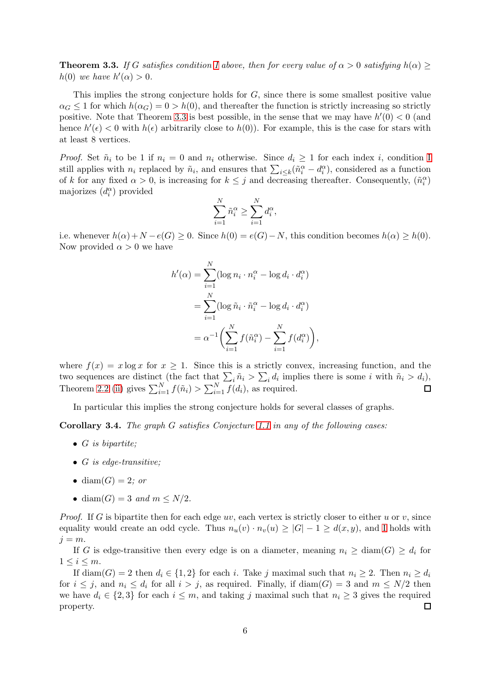**Theorem 3.3.** *If* G *satisfies condition I* above, then for every value of  $\alpha > 0$  *satisfying*  $h(\alpha) \geq$  $h(0)$  *we have*  $h'(\alpha) > 0$ *.* 

This implies the strong conjecture holds for G, since there is some smallest positive value  $\alpha_G \leq 1$  for which  $h(\alpha_G) = 0 > h(0)$ , and thereafter the function is strictly increasing so strictly positive. Note that Theorem [3.3](#page-4-4) is best possible, in the sense that we may have  $h'(0) < 0$  (and hence  $h'(\epsilon) < 0$  with  $h(\epsilon)$  arbitrarily close to  $h(0)$ ). For example, this is the case for stars with at least 8 vertices.

*Proof.* Set  $\tilde{n}_i$  to be 1 if  $n_i = 0$  and  $n_i$  otherwise. Since  $d_i \geq 1$  for each index i, condition [I](#page-4-3) still applies with  $n_i$  replaced by  $\tilde{n}_i$ , and ensures that  $\sum_{i \leq k} (\tilde{n}_i^{\alpha} - d_i^{\alpha})$ , considered as a function of k for any fixed  $\alpha > 0$ , is increasing for  $k \leq j$  and decreasing thereafter. Consequently,  $(\tilde{n}_i^{\alpha})$ majorizes  $(d_i^{\alpha})$  provided

$$
\sum_{i=1}^N \tilde{n}_i^{\alpha} \ge \sum_{i=1}^N d_i^{\alpha},
$$

i.e. whenever  $h(\alpha)+N-e(G) \geq 0$ . Since  $h(0)=e(G)-N$ , this condition becomes  $h(\alpha) \geq h(0)$ . Now provided  $\alpha > 0$  we have

$$
h'(\alpha) = \sum_{i=1}^{N} (\log n_i \cdot n_i^{\alpha} - \log d_i \cdot d_i^{\alpha})
$$
  
= 
$$
\sum_{i=1}^{N} (\log \tilde{n}_i \cdot \tilde{n}_i^{\alpha} - \log d_i \cdot d_i^{\alpha})
$$
  
= 
$$
\alpha^{-1} \left( \sum_{i=1}^{N} f(\tilde{n}_i^{\alpha}) - \sum_{i=1}^{N} f(d_i^{\alpha}) \right),
$$

where  $f(x) = x \log x$  for  $x \ge 1$ . Since this is a strictly convex, increasing function, and the two sequences are distinct (the fact that  $\sum_i \tilde{n}_i > \sum_i d_i$  implies there is some i with  $\tilde{n}_i > d_i$ ), Theorem [2.2](#page-2-4) [\(ii\)](#page-2-2) gives  $\sum_{i=1}^{N} f(\tilde{n}_i) > \sum_{i=1}^{N} f(d_i)$ , as required.

<span id="page-5-0"></span>In particular this implies the strong conjecture holds for several classes of graphs.

Corollary 3.4. *The graph* G *satisfies Conjecture [1.1](#page-1-1) in any of the following cases:*

- G *is bipartite;*
- G *is edge-transitive;*
- diam $(G) = 2$ *; or*
- diam $(G) = 3$  *and*  $m \leq N/2$ *.*

*Proof.* If G is bipartite then for each edge  $uv$ , each vertex is strictly closer to either u or v, since equality would create an odd cycle. Thus  $n_u(v) \cdot n_v(u) \geq |G|-1 \geq d(x,y)$ , and [I](#page-4-3) holds with  $j = m$ .

If G is edge-transitive then every edge is on a diameter, meaning  $n_i \geq \text{diam}(G) \geq d_i$  for  $1 \leq i \leq m$ .

If diam(G) = 2 then  $d_i \in \{1,2\}$  for each i. Take j maximal such that  $n_i \geq 2$ . Then  $n_i \geq d_i$ for  $i \leq j$ , and  $n_i \leq d_i$  for all  $i > j$ , as required. Finally, if  $\text{diam}(G) = 3$  and  $m \leq N/2$  then we have  $d_i \in \{2,3\}$  for each  $i \leq m$ , and taking j maximal such that  $n_i \geq 3$  gives the required property.  $\Box$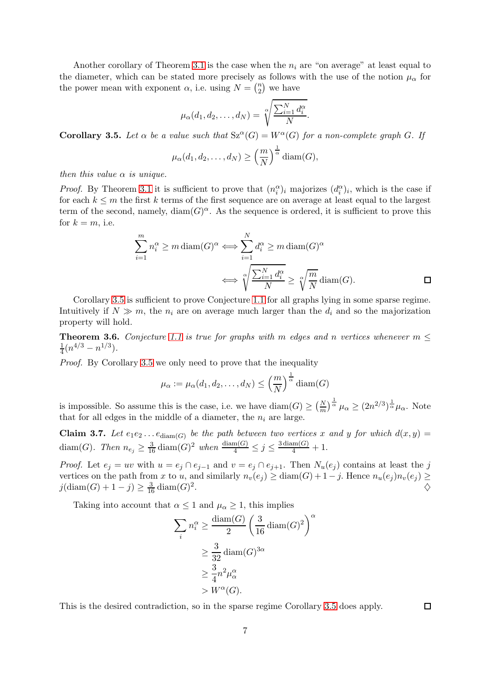Another corollary of Theorem [3.1](#page-4-5) is the case when the  $n_i$  are "on average" at least equal to the diameter, which can be stated more precisely as follows with the use of the notion  $\mu_{\alpha}$  for the power mean with exponent  $\alpha$ , i.e. using  $N = \binom{n}{2}$  $n \choose 2$  we have

$$
\mu_{\alpha}(d_1, d_2, \ldots, d_N) = \sqrt[\alpha]{\frac{\sum_{i=1}^N d_i^{\alpha}}{N}}.
$$

<span id="page-6-0"></span>**Corollary 3.5.** Let  $\alpha$  be a value such that  $Sz^{\alpha}(G) = W^{\alpha}(G)$  for a non-complete graph G. If

$$
\mu_{\alpha}(d_1, d_2, \ldots, d_N) \ge \left(\frac{m}{N}\right)^{\frac{1}{\alpha}} \text{diam}(G),
$$

*then this value* α *is unique.*

*Proof.* By Theorem [3.1](#page-4-5) it is sufficient to prove that  $(n_i^{\alpha})_i$  majorizes  $(d_i^{\alpha})_i$ , which is the case if for each  $k \leq m$  the first k terms of the first sequence are on average at least equal to the largest term of the second, namely,  $\text{diam}(G)^\alpha$ . As the sequence is ordered, it is sufficient to prove this for  $k = m$ , i.e.

$$
\sum_{i=1}^{m} n_i^{\alpha} \ge m \operatorname{diam}(G)^{\alpha} \Longleftrightarrow \sum_{i=1}^{N} d_i^{\alpha} \ge m \operatorname{diam}(G)^{\alpha}
$$

$$
\Longleftrightarrow \sqrt[\alpha]{\frac{\sum_{i=1}^{N} d_i^{\alpha}}{N}} \ge \sqrt[\alpha]{\frac{m}{N}} \operatorname{diam}(G).
$$

Corollary [3.5](#page-6-0) is sufficient to prove Conjecture [1.1](#page-1-1) for all graphs lying in some sparse regime. Intuitively if  $N \gg m$ , the  $n_i$  are on average much larger than the  $d_i$  and so the majorization property will hold.

<span id="page-6-1"></span>**Theorem 3.6.** *Conjecture* [1.1](#page-1-1) *is true for graphs with* m *edges and* n *vertices whenever*  $m \leq$ 1  $\frac{1}{4}(n^{4/3}-n^{1/3}).$ 

*Proof.* By Corollary [3.5](#page-6-0) we only need to prove that the inequality

$$
\mu_{\alpha} := \mu_{\alpha}(d_1, d_2, \dots, d_N) \leq \left(\frac{m}{N}\right)^{\frac{1}{\alpha}} \text{diam}(G)
$$

is impossible. So assume this is the case, i.e. we have  $\text{diam}(G) \geq \left(\frac{N}{m}\right)^{\frac{1}{\alpha}} \mu_{\alpha} \geq (2n^{2/3})^{\frac{1}{\alpha}} \mu_{\alpha}$ . Note that for all edges in the middle of a diameter, the  $n_i$  are large.

**Claim 3.7.** Let  $e_1e_2 \ldots e_{\text{diam}(G)}$  be the path between two vertices x and y for which  $d(x, y) =$ diam(G). Then  $n_{e_j} \geq \frac{3}{16} \operatorname{diam}(G)^2$  when  $\frac{\operatorname{diam}(G)}{4} \leq j \leq \frac{3 \operatorname{diam}(G)}{4} + 1$ .

*Proof.* Let  $e_i = uv$  with  $u = e_i \cap e_{i-1}$  and  $v = e_i \cap e_{i+1}$ . Then  $N_u(e_i)$  contains at least the j vertices on the path from x to u, and similarly  $n_v(e_j) \geq \text{diam}(G) + 1 - j$ . Hence  $n_u(e_j) n_v(e_j) \geq$  $j(\text{diam}(G) + 1 - j) \ge \frac{3}{16} \text{diam}(G)^2$ . And the contract of the contract of  $\Diamond$ 

Taking into account that  $\alpha \leq 1$  and  $\mu_{\alpha} \geq 1$ , this implies

$$
\sum_{i} n_i^{\alpha} \ge \frac{\text{diam}(G)}{2} \left(\frac{3}{16} \operatorname{diam}(G)^2\right)^{\alpha}
$$

$$
\ge \frac{3}{32} \operatorname{diam}(G)^{3\alpha}
$$

$$
\ge \frac{3}{4} n^2 \mu_{\alpha}^{\alpha}
$$

$$
> W^{\alpha}(G).
$$

This is the desired contradiction, so in the sparse regime Corollary [3.5](#page-6-0) does apply.

 $\Box$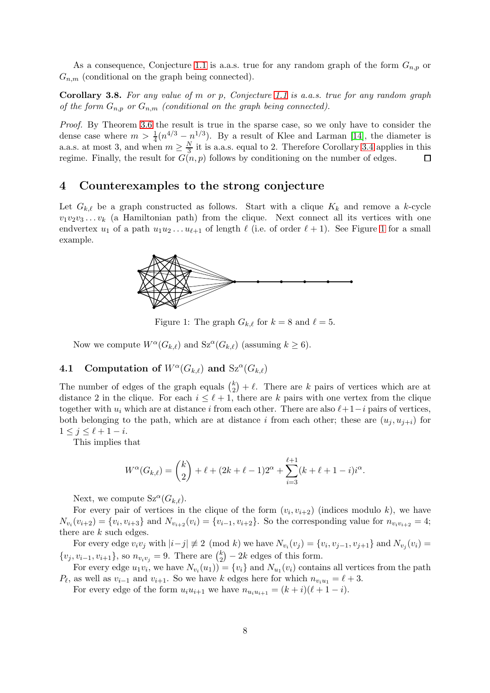As a consequence, Conjecture [1.1](#page-1-1) is a.a.s. true for any random graph of the form  $G_{n,p}$  or  $G_{n,m}$  (conditional on the graph being connected).

Corollary 3.8. *For any value of* m *or* p*, Conjecture [1.1](#page-1-1) is a.a.s. true for any random graph of the form*  $G_{n,p}$  *or*  $G_{n,m}$  *(conditional on the graph being connected).* 

*Proof.* By Theorem [3.6](#page-6-1) the result is true in the sparse case, so we only have to consider the dense case where  $m > \frac{1}{4}(n^{4/3} - n^{1/3})$ . By a result of Klee and Larman [\[14\]](#page-10-12), the diameter is a.a.s. at most 3, and when  $m \geq \frac{N}{3}$  $\frac{N}{3}$  it is a.a.s. equal to 2. Therefore Corollary [3.4](#page-5-0) applies in this regime. Finally, the result for  $G(n, p)$  follows by conditioning on the number of edges.  $\Box$ 

### <span id="page-7-0"></span>4 Counterexamples to the strong conjecture

<span id="page-7-1"></span>Let  $G_{k,\ell}$  be a graph constructed as follows. Start with a clique  $K_k$  and remove a k-cycle  $v_1v_2v_3 \ldots v_k$  (a Hamiltonian path) from the clique. Next connect all its vertices with one endvertex  $u_1$  of a path  $u_1u_2 \ldots u_{\ell+1}$  of length  $\ell$  (i.e. of order  $\ell+1$ ). See Figure [1](#page-7-1) for a small example.



Figure 1: The graph  $G_{k,\ell}$  for  $k=8$  and  $\ell=5$ .

Now we compute  $W^{\alpha}(G_{k,\ell})$  and  $Sz^{\alpha}(G_{k,\ell})$  (assuming  $k \geq 6$ ).

## 4.1 Computation of  $W^{\alpha}(G_{k,\ell})$  and  $\text{Sz}^{\alpha}(G_{k,\ell})$

The number of edges of the graph equals  $\binom{k}{2}$  $\binom{k}{2} + \ell$ . There are k pairs of vertices which are at distance 2 in the clique. For each  $i \leq \ell + 1$ , there are k pairs with one vertex from the clique together with  $u_i$  which are at distance i from each other. There are also  $\ell+1-i$  pairs of vertices, both belonging to the path, which are at distance i from each other; these are  $(u_i, u_{i+i})$  for  $1 \leq j \leq \ell + 1 - i$ .

This implies that

$$
W^{\alpha}(G_{k,\ell}) = {k \choose 2} + \ell + (2k + \ell - 1)2^{\alpha} + \sum_{i=3}^{\ell+1} (k + \ell + 1 - i)i^{\alpha}.
$$

Next, we compute  $Sz^{\alpha}(G_{k,\ell}).$ 

For every pair of vertices in the clique of the form  $(v_i, v_{i+2})$  (indices modulo k), we have  $N_{v_i}(v_{i+2}) = \{v_i, v_{i+3}\}\$ and  $N_{v_{i+2}}(v_i) = \{v_{i-1}, v_{i+2}\}\$ . So the corresponding value for  $n_{v_i v_{i+2}} = 4$ ; there are k such edges.

For every edge  $v_i v_j$  with  $|i-j| \not\equiv 2 \pmod{k}$  we have  $N_{v_i}(v_j) = \{v_i, v_{j-1}, v_{j+1}\}$  and  $N_{v_j}(v_i) =$  $\{v_j, v_{i-1}, v_{i+1}\}\$ , so  $n_{v_i v_j} = 9$ . There are  $\binom{k}{2}$  $\binom{k}{2}$  – 2k edges of this form.

For every edge  $u_1v_i$ , we have  $N_{v_i}(u_1)$  =  $\{v_i\}$  and  $N_{u_1}(v_i)$  contains all vertices from the path  $P_{\ell}$ , as well as  $v_{i-1}$  and  $v_{i+1}$ . So we have k edges here for which  $n_{v_i u_1} = \ell + 3$ .

For every edge of the form  $u_i u_{i+1}$  we have  $n_{u_i u_{i+1}} = (k + i)(\ell + 1 - i)$ .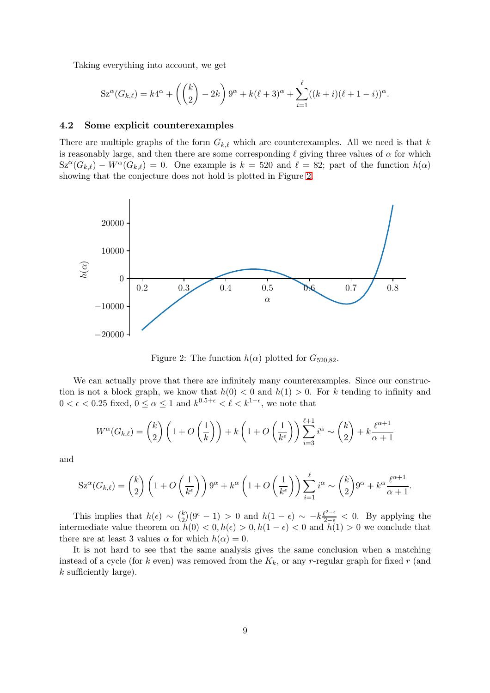Taking everything into account, we get

$$
Sz^{\alpha}(G_{k,\ell}) = k4^{\alpha} + \left( {k \choose 2} - 2k \right) 9^{\alpha} + k(\ell+3)^{\alpha} + \sum_{i=1}^{\ell} ((k+i)(\ell+1-i))^{\alpha}.
$$

#### 4.2 Some explicit counterexamples

There are multiple graphs of the form  $G_{k,\ell}$  which are counterexamples. All we need is that k is reasonably large, and then there are some corresponding  $\ell$  giving three values of  $\alpha$  for which  $Sz^{\alpha}(G_{k,\ell}) - W^{\alpha}(G_{k,\ell}) = 0$ . One example is  $k = 520$  and  $\ell = 82$ ; part of the function  $h(\alpha)$ showing that the conjecture does not hold is plotted in Figure [2.](#page-8-0)

<span id="page-8-0"></span>

Figure 2: The function  $h(\alpha)$  plotted for  $G_{520.82}$ .

We can actually prove that there are infinitely many counterexamples. Since our construction is not a block graph, we know that  $h(0) < 0$  and  $h(1) > 0$ . For k tending to infinity and  $0 < \epsilon < 0.25$  fixed,  $0 \leq \alpha \leq 1$  and  $k^{0.5+\epsilon} < \ell < k^{1-\epsilon}$ , we note that

$$
W^{\alpha}(G_{k,\ell}) = {k \choose 2} \left(1 + O\left(\frac{1}{k}\right)\right) + k \left(1 + O\left(\frac{1}{k^{\epsilon}}\right)\right) \sum_{i=3}^{\ell+1} i^{\alpha} \sim {k \choose 2} + k \frac{\ell^{\alpha+1}}{\alpha+1}
$$

and

$$
Sz^{\alpha}(G_{k,\ell}) = {k \choose 2} \left(1 + O\left(\frac{1}{k^{\epsilon}}\right)\right)9^{\alpha} + k^{\alpha} \left(1 + O\left(\frac{1}{k^{\epsilon}}\right)\right) \sum_{i=1}^{\ell} i^{\alpha} \sim {k \choose 2}9^{\alpha} + k^{\alpha} \frac{\ell^{\alpha+1}}{\alpha+1}.
$$

This implies that  $h(\epsilon) \sim \binom{k}{2}$  $\chi_2^k(9^{\epsilon}-1) > 0$  and  $h(1-\epsilon) \sim -k\frac{\ell^{2-\epsilon}}{2-\epsilon} < 0$ . By applying the intermediate value theorem on  $h(0) < 0, h(\epsilon) > 0, h(1 - \epsilon) < 0$  and  $h(1) > 0$  we conclude that there are at least 3 values  $\alpha$  for which  $h(\alpha) = 0$ .

It is not hard to see that the same analysis gives the same conclusion when a matching instead of a cycle (for k even) was removed from the  $K_k$ , or any r-regular graph for fixed r (and  $k$  sufficiently large).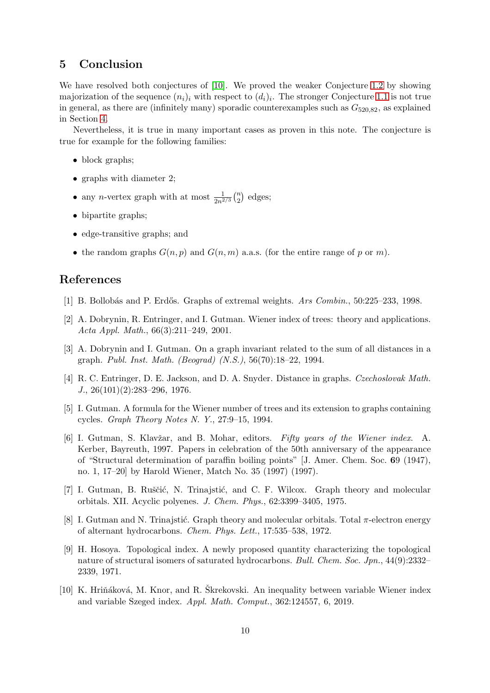### 5 Conclusion

We have resolved both conjectures of [\[10\]](#page-9-9). We proved the weaker Conjecture [1.2](#page-1-2) by showing majorization of the sequence  $(n_i)_i$  with respect to  $(d_i)_i$ . The stronger Conjecture [1.1](#page-1-1) is not true in general, as there are (infinitely many) sporadic counterexamples such as  $G_{520,82}$ , as explained in Section [4.](#page-7-0)

Nevertheless, it is true in many important cases as proven in this note. The conjecture is true for example for the following families:

- block graphs;
- graphs with diameter 2;
- any *n*-vertex graph with at most  $\frac{1}{2n^{2/3}} {n \choose 2}$  $n \choose 2$  edges;
- bipartite graphs;
- edge-transitive graphs; and
- the random graphs  $G(n, p)$  and  $G(n, m)$  a.a.s. (for the entire range of p or m).

### <span id="page-9-8"></span>References

- <span id="page-9-1"></span>[1] B. Bollob´as and P. Erd˝os. Graphs of extremal weights. *Ars Combin.*, 50:225–233, 1998.
- [2] A. Dobrynin, R. Entringer, and I. Gutman. Wiener index of trees: theory and applications. *Acta Appl. Math.*, 66(3):211–249, 2001.
- <span id="page-9-7"></span>[3] A. Dobrynin and I. Gutman. On a graph invariant related to the sum of all distances in a graph. *Publ. Inst. Math. (Beograd) (N.S.)*, 56(70):18–22, 1994.
- <span id="page-9-0"></span>[4] R. C. Entringer, D. E. Jackson, and D. A. Snyder. Distance in graphs. *Czechoslovak Math. J.*, 26(101)(2):283–296, 1976.
- <span id="page-9-6"></span><span id="page-9-2"></span>[5] I. Gutman. A formula for the Wiener number of trees and its extension to graphs containing cycles. *Graph Theory Notes N. Y.*, 27:9–15, 1994.
- [6] I. Gutman, S. Klavˇzar, and B. Mohar, editors. *Fifty years of the Wiener index*. A. Kerber, Bayreuth, 1997. Papers in celebration of the 50th anniversary of the appearance of "Structural determination of paraffin boiling points" [J. Amer. Chem. Soc. 69 (1947), no. 1, 17–20] by Harold Wiener, Match No. 35 (1997) (1997).
- <span id="page-9-4"></span>[7] I. Gutman, B. Ruščić, N. Trinajstić, and C. F. Wilcox. Graph theory and molecular orbitals. XII. Acyclic polyenes. *J. Chem. Phys.*, 62:3399–3405, 1975.
- <span id="page-9-3"></span>[8] I. Gutman and N. Trinajstić. Graph theory and molecular orbitals. Total  $\pi$ -electron energy of alternant hydrocarbons. *Chem. Phys. Lett.*, 17:535–538, 1972.
- <span id="page-9-5"></span>[9] H. Hosoya. Topological index. A newly proposed quantity characterizing the topological nature of structural isomers of saturated hydrocarbons. *Bull. Chem. Soc. Jpn.*, 44(9):2332– 2339, 1971.
- <span id="page-9-9"></span>[10] K. Hriňáková, M. Knor, and R. Škrekovski. An inequality between variable Wiener index and variable Szeged index. *Appl. Math. Comput.*, 362:124557, 6, 2019.